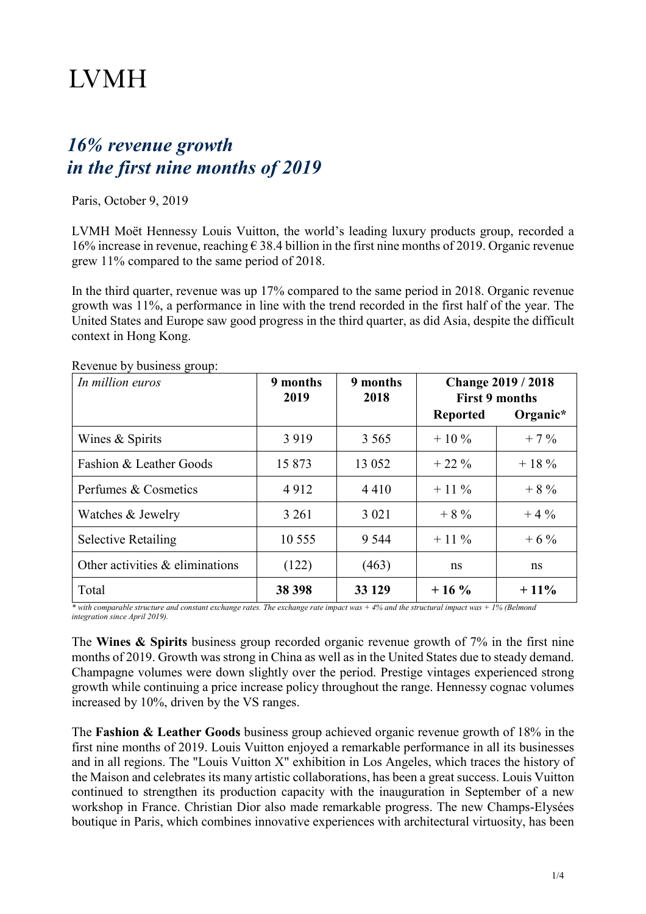# **LVMH**

# *16% revenue growth in the first nine months of 2019*

Paris, October 9, 2019

LVMH Moët Hennessy Louis Vuitton, the world's leading luxury products group, recorded a 16% increase in revenue, reaching  $\epsilon$  38.4 billion in the first nine months of 2019. Organic revenue grew 11% compared to the same period of 2018.

In the third quarter, revenue was up 17% compared to the same period in 2018. Organic revenue growth was 11%, a performance in line with the trend recorded in the first half of the year. The United States and Europe saw good progress in the third quarter, as did Asia, despite the difficult context in Hong Kong.

| In million euros                  | 9 months<br>2019 | 9 months<br>2018 | <b>Change 2019 / 2018</b><br><b>First 9 months</b> |          |
|-----------------------------------|------------------|------------------|----------------------------------------------------|----------|
|                                   |                  |                  | <b>Reported</b>                                    | Organic* |
| Wines & Spirits                   | 3919             | 3 5 6 5          | $+10\%$                                            | $+7\%$   |
| Fashion & Leather Goods           | 15 873           | 13 0 52          | $+22\%$                                            | $+18\%$  |
| Perfumes & Cosmetics              | 4912             | 4410             | $+11\%$                                            | $+8%$    |
| Watches & Jewelry                 | 3 2 6 1          | 3 0 2 1          | $+8%$                                              | $+4\%$   |
| <b>Selective Retailing</b>        | 10 555           | 9 5 4 4          | $+11\%$                                            | $+6\%$   |
| Other activities $&$ eliminations | (122)            | (463)            | ns                                                 | ns       |
| Total                             | 38 398           | 33 129           | $+16\%$                                            | $+11\%$  |

Revenue by business group:

*\* with comparable structure and constant exchange rates. The exchange rate impact was + 4% and the structural impact was + 1% (Belmond integration since April 2019).*

The **Wines & Spirits** business group recorded organic revenue growth of 7% in the first nine months of 2019. Growth was strong in China as well as in the United States due to steady demand. Champagne volumes were down slightly over the period. Prestige vintages experienced strong growth while continuing a price increase policy throughout the range. Hennessy cognac volumes increased by 10%, driven by the VS ranges.

The **Fashion & Leather Goods** business group achieved organic revenue growth of 18% in the first nine months of 2019. Louis Vuitton enjoyed a remarkable performance in all its businesses and in all regions. The "Louis Vuitton X" exhibition in Los Angeles, which traces the history of the Maison and celebrates its many artistic collaborations, has been a great success. Louis Vuitton continued to strengthen its production capacity with the inauguration in September of a new workshop in France. Christian Dior also made remarkable progress. The new Champs-Elysées boutique in Paris, which combines innovative experiences with architectural virtuosity, has been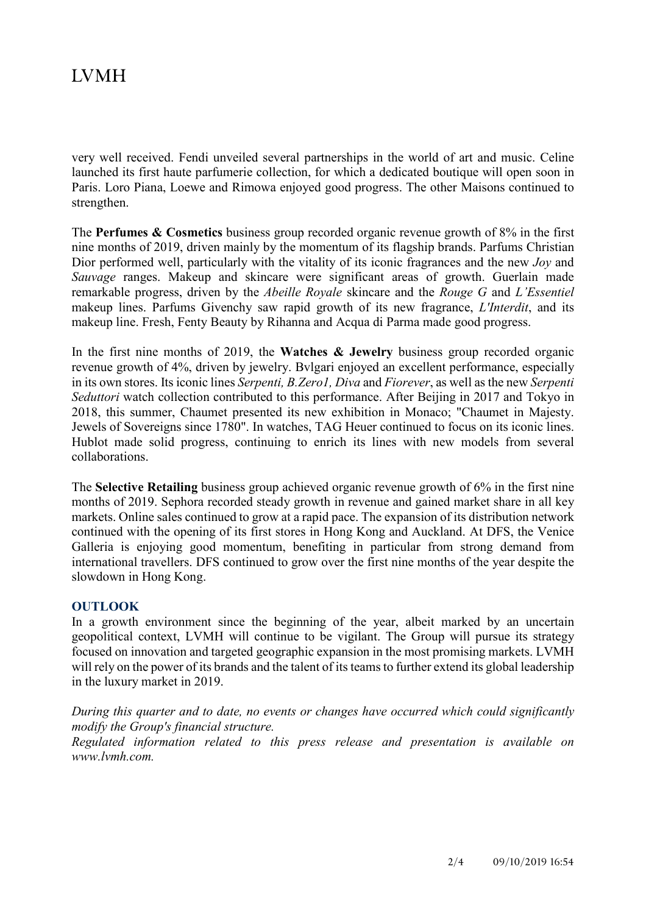## **IVMH**

very well received. Fendi unveiled several partnerships in the world of art and music. Celine launched its first haute parfumerie collection, for which a dedicated boutique will open soon in Paris. Loro Piana, Loewe and Rimowa enjoyed good progress. The other Maisons continued to strengthen.

The **Perfumes & Cosmetics** business group recorded organic revenue growth of 8% in the first nine months of 2019, driven mainly by the momentum of its flagship brands. Parfums Christian Dior performed well, particularly with the vitality of its iconic fragrances and the new *Joy* and *Sauvage* ranges. Makeup and skincare were significant areas of growth. Guerlain made remarkable progress, driven by the *Abeille Royale* skincare and the *Rouge G* and *L'Essentiel* makeup lines. Parfums Givenchy saw rapid growth of its new fragrance, *L'Interdit*, and its makeup line. Fresh, Fenty Beauty by Rihanna and Acqua di Parma made good progress.

In the first nine months of 2019, the **Watches & Jewelry** business group recorded organic revenue growth of 4%, driven by jewelry. Bvlgari enjoyed an excellent performance, especially in its own stores. Its iconic lines *Serpenti, B.Zero1, Diva* and *Fiorever*, as well as the new *Serpenti Seduttori* watch collection contributed to this performance. After Beijing in 2017 and Tokyo in 2018, this summer, Chaumet presented its new exhibition in Monaco; "Chaumet in Majesty. Jewels of Sovereigns since 1780". In watches, TAG Heuer continued to focus on its iconic lines. Hublot made solid progress, continuing to enrich its lines with new models from several collaborations.

The **Selective Retailing** business group achieved organic revenue growth of 6% in the first nine months of 2019. Sephora recorded steady growth in revenue and gained market share in all key markets. Online sales continued to grow at a rapid pace. The expansion of its distribution network continued with the opening of its first stores in Hong Kong and Auckland. At DFS, the Venice Galleria is enjoying good momentum, benefiting in particular from strong demand from international travellers. DFS continued to grow over the first nine months of the year despite the slowdown in Hong Kong.

### **OUTLOOK**

In a growth environment since the beginning of the year, albeit marked by an uncertain geopolitical context, LVMH will continue to be vigilant. The Group will pursue its strategy focused on innovation and targeted geographic expansion in the most promising markets. LVMH will rely on the power of its brands and the talent of its teams to further extend its global leadership in the luxury market in 2019.

*During this quarter and to date, no events or changes have occurred which could significantly modify the Group's financial structure.*

*Regulated information related to this press release and presentation is available on www.lvmh.com.*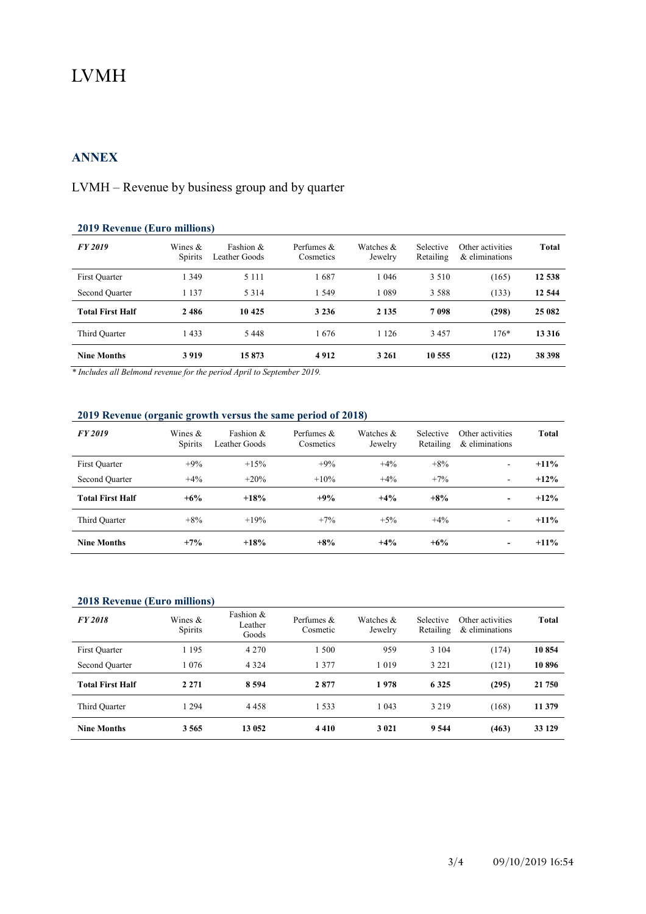# **LVMH**

### **ANNEX**

### LVMH – Revenue by business group and by quarter

| <b>2019 Revenue (Euro millions)</b> |                       |                            |                           |                      |                        |                                    |         |
|-------------------------------------|-----------------------|----------------------------|---------------------------|----------------------|------------------------|------------------------------------|---------|
| FY 2019                             | Wines $\&$<br>Spirits | Fashion &<br>Leather Goods | Perfumes $&$<br>Cosmetics | Watches &<br>Jewelry | Selective<br>Retailing | Other activities<br>& eliminations | Total   |
| First Quarter                       | 1 3 4 9               | 5 1 1 1                    | 1687                      | 1046                 | 3 5 1 0                | (165)                              | 12 538  |
| Second Quarter                      | 1 1 3 7               | 5 3 1 4                    | 1 5 4 9                   | 1089                 | 3 5 8 8                | (133)                              | 12 544  |
| <b>Total First Half</b>             | 2486                  | 10 425                     | 3 2 3 6                   | 2 1 3 5              | 7098                   | (298)                              | 25 082  |
| Third Quarter                       | 1433                  | 5 4 4 8                    | 1676                      | 1 1 2 6              | 3457                   | $176*$                             | 13 3 16 |
| <b>Nine Months</b>                  | 3919                  | 15873                      | 4912                      | 3 2 6 1              | 10 555                 | (122)                              | 38 398  |

*\* Includes all Belmond revenue for the period April to September 2019.*

### **2019 Revenue (organic growth versus the same period of 2018)**

| FY 2019                 | Wines &<br>Spirits | Fashion &<br>Leather Goods | Perfumes &<br>Cosmetics | Watches &<br>Jewelry | Selective<br>Retailing | Other activities<br>& eliminations | Total   |
|-------------------------|--------------------|----------------------------|-------------------------|----------------------|------------------------|------------------------------------|---------|
| First Quarter           | $+9%$              | $+15%$                     | $+9%$                   | $+4%$                | $+8%$                  | $\overline{\phantom{a}}$           | $+11\%$ |
| Second Quarter          | $+4%$              | $+20%$                     | $+10%$                  | $+4%$                | $+7%$                  | ۰                                  | $+12%$  |
| <b>Total First Half</b> | $+6\%$             | $+18%$                     | $+9%$                   | $+4%$                | $+8%$                  | $\overline{\phantom{a}}$           | $+12%$  |
| Third Quarter           | $+8%$              | $+19%$                     | $+7%$                   | $+5%$                | $+4\%$                 | ۰                                  | $+11\%$ |
| <b>Nine Months</b>      | $+7%$              | $+18%$                     | $+8%$                   | $+4%$                | $+6%$                  | ٠                                  | $+11\%$ |

#### **2018 Revenue (Euro millions)**

| <b>FY 2018</b>          | Wines $\&$<br>Spirits | Fashion &<br>Leather<br>Goods | Perfumes &<br>Cosmetic | Watches &<br>Jewelry | Selective<br>Retailing | Other activities<br>& eliminations | <b>Total</b> |
|-------------------------|-----------------------|-------------------------------|------------------------|----------------------|------------------------|------------------------------------|--------------|
| First Quarter           | 1 1 9 5               | 4 2 7 0                       | 1.500                  | 959                  | 3 1 0 4                | (174)                              | 10854        |
| Second Quarter          | 1 0 7 6               | 4 3 2 4                       | 1 377                  | 1019                 | 3 2 2 1                | (121)                              | 10896        |
| <b>Total First Half</b> | 2 2 7 1               | 8 5 9 4                       | 2877                   | 1978                 | 6 3 2 5                | (295)                              | 21 750       |
| Third Quarter           | 1 2 9 4               | 4458                          | 1.533                  | 1 043                | 3 2 1 9                | (168)                              | 11 379       |
| <b>Nine Months</b>      | 3565                  | 13 052                        | 4410                   | 3 0 21               | 9 5 4 4                | (463)                              | 33 129       |